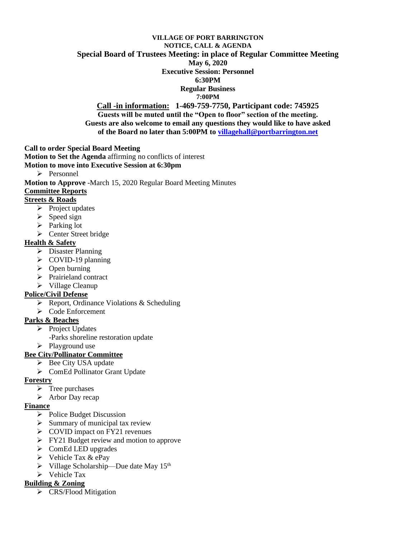#### **VILLAGE OF PORT BARRINGTON NOTICE, CALL & AGENDA Special Board of Trustees Meeting: in place of Regular Committee Meeting May 6, 2020 Executive Session: Personnel 6:30PM Regular Business 7:00PM Call -in information: 1-469-759-7750, Participant code: 745925**

**Guests will be muted until the "Open to floor" section of the meeting. Guests are also welcome to email any questions they would like to have asked of the Board no later than 5:00PM t[o villagehall@portbarrington.net](mailto:villagehall@portbarrington.net)**

**Call to order Special Board Meeting** 

**Motion to Set the Agenda** affirming no conflicts of interest

- **Motion to move into Executive Session at 6:30pm**
	- ➢ Personnel

**Motion to Approve** -March 15, 2020 Regular Board Meeting Minutes

#### **Committee Reports**

## **Streets & Roads**

- ➢ Project updates
- $\triangleright$  Speed sign
- ➢ Parking lot
- ➢ Center Street bridge

## **Health & Safety**

- ➢ Disaster Planning
- ➢ COVID-19 planning
- ➢ Open burning
- ➢ Prairieland contract
- ➢ Village Cleanup

## **Police/Civil Defense**

- ➢ Report, Ordinance Violations & Scheduling
- ➢ Code Enforcement

## **Parks & Beaches**

- ➢ Project Updates
	- -Parks shoreline restoration update
- ➢ Playground use

## **Bee City/Pollinator Committee**

- ➢ Bee City USA update
- ➢ ComEd Pollinator Grant Update

## **Forestry**

- $\triangleright$  Tree purchases
- ➢ Arbor Day recap

## **Finance**

- ➢ Police Budget Discussion
- $\triangleright$  Summary of municipal tax review
- ➢ COVID impact on FY21 revenues
- ➢ FY21 Budget review and motion to approve
- $\triangleright$  ComEd LED upgrades
- $\triangleright$  Vehicle Tax & ePay
- $\triangleright$  Village Scholarship—Due date May 15<sup>th</sup>
- ➢ Vehicle Tax

## **Building & Zoning**

➢ CRS/Flood Mitigation